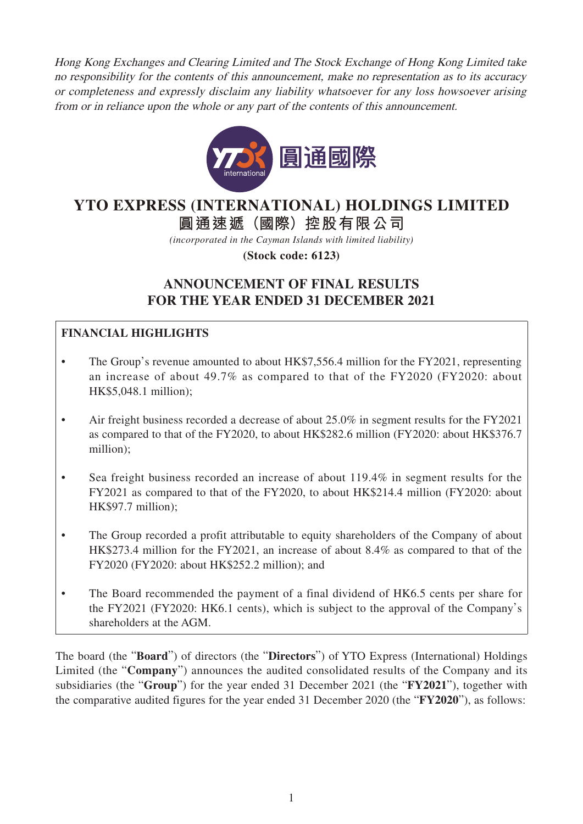Hong Kong Exchanges and Clearing Limited and The Stock Exchange of Hong Kong Limited take no responsibility for the contents of this announcement, make no representation as to its accuracy or completeness and expressly disclaim any liability whatsoever for any loss howsoever arising from or in reliance upon the whole or any part of the contents of this announcement.



# **YTO EXPRESS (INTERNATIONAL) HOLDINGS LIMITED**

**圓通速遞(國際)控股有限公司**

*(incorporated in the Cayman Islands with limited liability)*

**(Stock code: 6123)**

## **ANNOUNCEMENT OF FINAL RESULTS FOR THE YEAR ENDED 31 DECEMBER 2021**

## **FINANCIAL HIGHLIGHTS**

- The Group's revenue amounted to about HK\$7,556.4 million for the FY2021, representing an increase of about 49.7% as compared to that of the FY2020 (FY2020: about HK\$5,048.1 million);
- Air freight business recorded a decrease of about 25.0% in segment results for the FY2021 as compared to that of the FY2020, to about HK\$282.6 million (FY2020: about HK\$376.7 million);
- Sea freight business recorded an increase of about 119.4% in segment results for the FY2021 as compared to that of the FY2020, to about HK\$214.4 million (FY2020: about HK\$97.7 million);
- The Group recorded a profit attributable to equity shareholders of the Company of about HK\$273.4 million for the FY2021, an increase of about 8.4% as compared to that of the FY2020 (FY2020: about HK\$252.2 million); and
- The Board recommended the payment of a final dividend of HK6.5 cents per share for the FY2021 (FY2020: HK6.1 cents), which is subject to the approval of the Company's shareholders at the AGM.

The board (the "**Board**") of directors (the "**Directors**") of YTO Express (International) Holdings Limited (the "**Company**") announces the audited consolidated results of the Company and its subsidiaries (the "**Group**") for the year ended 31 December 2021 (the "**FY2021**"), together with the comparative audited figures for the year ended 31 December 2020 (the "**FY2020**"), as follows: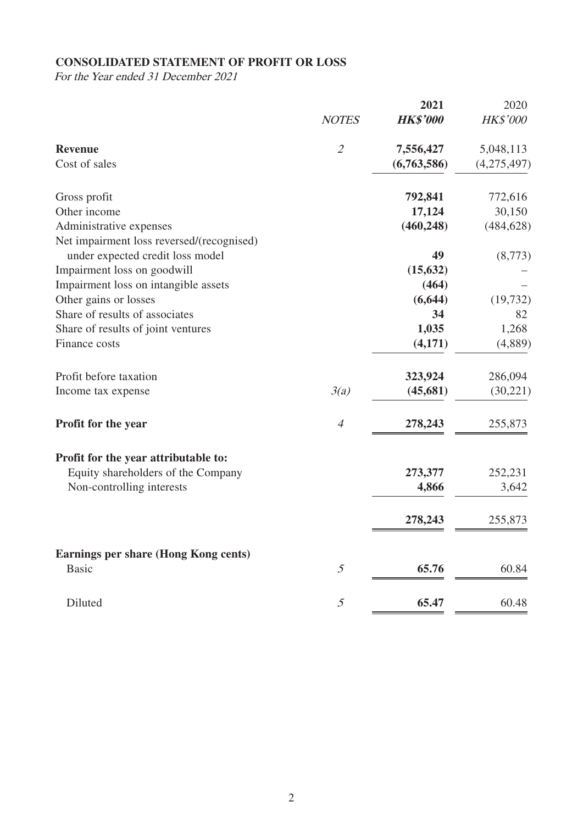## **CONSOLIDATED STATEMENT OF PROFIT OR LOSS**

For the Year ended 31 December 2021

|                                           |                             | 2021            | 2020            |
|-------------------------------------------|-----------------------------|-----------------|-----------------|
|                                           | <b>NOTES</b>                | <b>HK\$'000</b> | <b>HK\$'000</b> |
| <b>Revenue</b>                            | $\mathcal{L}_{\mathcal{L}}$ | 7,556,427       | 5,048,113       |
| Cost of sales                             |                             | (6,763,586)     | (4,275,497)     |
| Gross profit                              |                             | 792,841         | 772,616         |
| Other income                              |                             | 17,124          | 30,150          |
| Administrative expenses                   |                             | (460, 248)      | (484, 628)      |
| Net impairment loss reversed/(recognised) |                             |                 |                 |
| under expected credit loss model          |                             | 49              | (8,773)         |
| Impairment loss on goodwill               |                             | (15, 632)       |                 |
| Impairment loss on intangible assets      |                             | (464)           |                 |
| Other gains or losses                     |                             | (6, 644)        | (19, 732)       |
| Share of results of associates            |                             | 34              | 82              |
| Share of results of joint ventures        |                             | 1,035           | 1,268           |
| Finance costs                             |                             | (4,171)         | (4,889)         |
| Profit before taxation                    |                             | 323,924         | 286,094         |
| Income tax expense                        | 3(a)                        | (45, 681)       | (30,221)        |
| Profit for the year                       | $\overline{4}$              | 278,243         | 255,873         |
| Profit for the year attributable to:      |                             |                 |                 |
| Equity shareholders of the Company        |                             | 273,377         | 252,231         |
| Non-controlling interests                 |                             | 4,866           | 3,642           |
|                                           |                             | 278,243         | 255,873         |
| Earnings per share (Hong Kong cents)      |                             |                 |                 |
| <b>Basic</b>                              | 5                           | 65.76           | 60.84           |
| Diluted                                   | 5                           | 65.47           | 60.48           |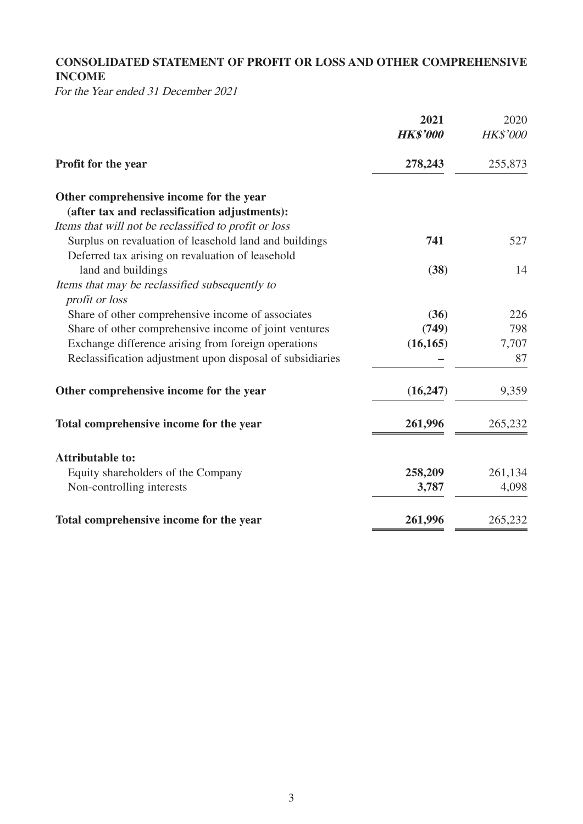## **CONSOLIDATED STATEMENT OF PROFIT OR LOSS AND OTHER COMPREHENSIVE INCOME**

For the Year ended 31 December 2021

|                                                           | 2021            | 2020            |
|-----------------------------------------------------------|-----------------|-----------------|
|                                                           | <b>HK\$'000</b> | <b>HK\$'000</b> |
| Profit for the year                                       | 278,243         | 255,873         |
| Other comprehensive income for the year                   |                 |                 |
| (after tax and reclassification adjustments):             |                 |                 |
| Items that will not be reclassified to profit or loss     |                 |                 |
| Surplus on revaluation of leasehold land and buildings    | 741             | 527             |
| Deferred tax arising on revaluation of leasehold          |                 |                 |
| land and buildings                                        | (38)            | 14              |
| Items that may be reclassified subsequently to            |                 |                 |
| profit or loss                                            |                 |                 |
| Share of other comprehensive income of associates         | (36)            | 226             |
| Share of other comprehensive income of joint ventures     | (749)           | 798             |
| Exchange difference arising from foreign operations       | (16, 165)       | 7,707           |
| Reclassification adjustment upon disposal of subsidiaries |                 | 87              |
| Other comprehensive income for the year                   | (16, 247)       | 9,359           |
| Total comprehensive income for the year                   | 261,996         | 265,232         |
| <b>Attributable to:</b>                                   |                 |                 |
| Equity shareholders of the Company                        | 258,209         | 261,134         |
| Non-controlling interests                                 | 3,787           | 4,098           |
|                                                           |                 |                 |
| Total comprehensive income for the year                   | 261,996         | 265,232         |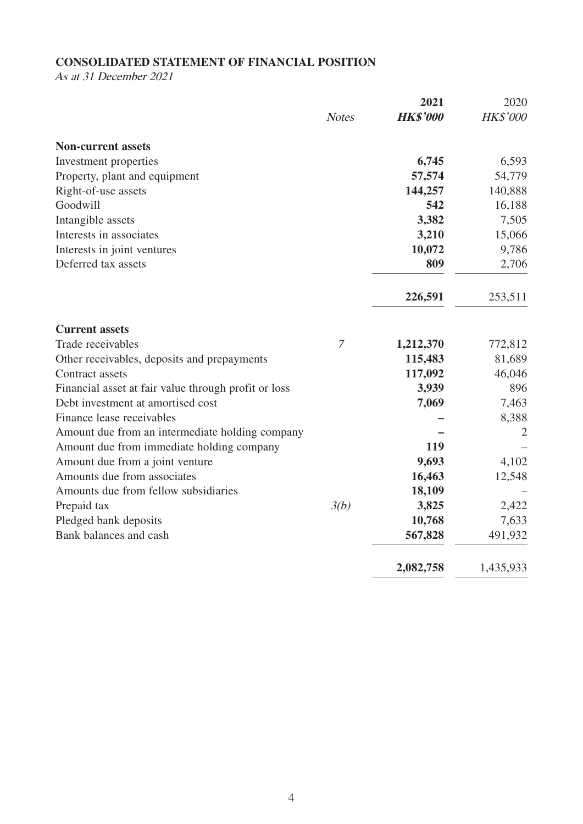## **CONSOLIDATED STATEMENT OF FINANCIAL POSITION**

As at 31 December 2021

|                                                      |                | 2021            | 2020            |
|------------------------------------------------------|----------------|-----------------|-----------------|
|                                                      | <b>Notes</b>   | <b>HK\$'000</b> | <b>HK\$'000</b> |
| <b>Non-current assets</b>                            |                |                 |                 |
| Investment properties                                |                | 6,745           | 6,593           |
| Property, plant and equipment                        |                | 57,574          | 54,779          |
| Right-of-use assets                                  |                | 144,257         | 140,888         |
| Goodwill                                             |                | 542             | 16,188          |
| Intangible assets                                    |                | 3,382           | 7,505           |
| Interests in associates                              |                | 3,210           | 15,066          |
| Interests in joint ventures                          |                | 10,072          | 9,786           |
| Deferred tax assets                                  |                | 809             | 2,706           |
|                                                      |                | 226,591         | 253,511         |
| <b>Current assets</b>                                |                |                 |                 |
| Trade receivables                                    | $\overline{7}$ | 1,212,370       | 772,812         |
| Other receivables, deposits and prepayments          |                | 115,483         | 81,689          |
| Contract assets                                      |                | 117,092         | 46,046          |
| Financial asset at fair value through profit or loss |                | 3,939           | 896             |
| Debt investment at amortised cost                    |                | 7,069           | 7,463           |
| Finance lease receivables                            |                |                 | 8,388           |
| Amount due from an intermediate holding company      |                |                 | $\overline{2}$  |
| Amount due from immediate holding company            |                | 119             |                 |
| Amount due from a joint venture                      |                | 9,693           | 4,102           |
| Amounts due from associates                          |                | 16,463          | 12,548          |
| Amounts due from fellow subsidiaries                 |                | 18,109          |                 |
| Prepaid tax                                          | 3(b)           | 3,825           | 2,422           |
| Pledged bank deposits                                |                | 10,768          | 7,633           |
| Bank balances and cash                               |                | 567,828         | 491,932         |
|                                                      |                | 2,082,758       | 1,435,933       |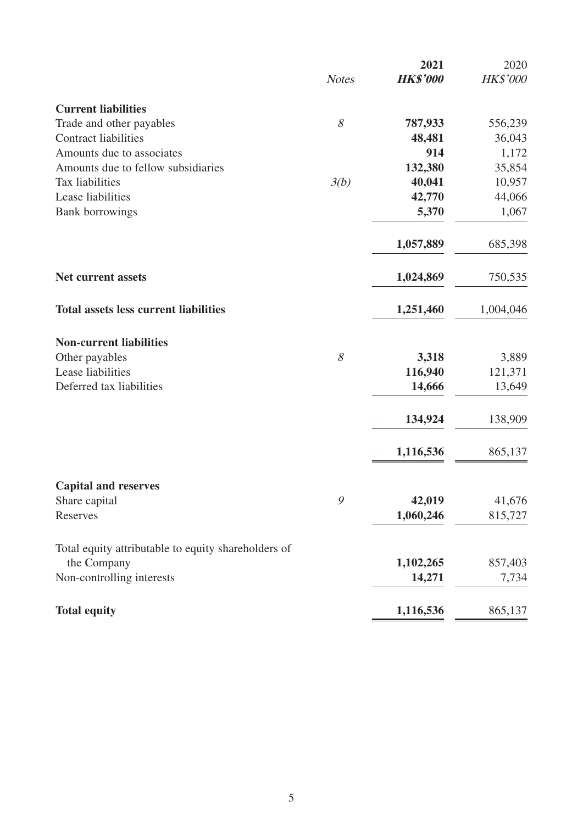|                                                     |               | 2021            | 2020      |
|-----------------------------------------------------|---------------|-----------------|-----------|
|                                                     | <b>Notes</b>  | <b>HK\$'000</b> | HK\$'000  |
| <b>Current liabilities</b>                          |               |                 |           |
| Trade and other payables                            | 8             | 787,933         | 556,239   |
| <b>Contract liabilities</b>                         |               | 48,481          | 36,043    |
| Amounts due to associates                           |               | 914             | 1,172     |
| Amounts due to fellow subsidiaries                  |               | 132,380         | 35,854    |
| Tax liabilities                                     | 3(b)          | 40,041          | 10,957    |
| Lease liabilities                                   |               | 42,770          | 44,066    |
| <b>Bank borrowings</b>                              |               | 5,370           | 1,067     |
|                                                     |               | 1,057,889       | 685,398   |
| <b>Net current assets</b>                           |               | 1,024,869       | 750,535   |
| <b>Total assets less current liabilities</b>        |               | 1,251,460       | 1,004,046 |
| <b>Non-current liabilities</b>                      |               |                 |           |
| Other payables                                      | 8             | 3,318           | 3,889     |
| Lease liabilities                                   |               | 116,940         | 121,371   |
| Deferred tax liabilities                            |               | 14,666          | 13,649    |
|                                                     |               | 134,924         | 138,909   |
|                                                     |               | 1,116,536       | 865,137   |
| <b>Capital and reserves</b>                         |               |                 |           |
| Share capital                                       | $\mathcal{G}$ | 42,019          | 41,676    |
| Reserves                                            |               | 1,060,246       | 815,727   |
| Total equity attributable to equity shareholders of |               |                 |           |
| the Company                                         |               | 1,102,265       | 857,403   |
| Non-controlling interests                           |               | 14,271          | 7,734     |
| <b>Total equity</b>                                 |               | 1,116,536       | 865,137   |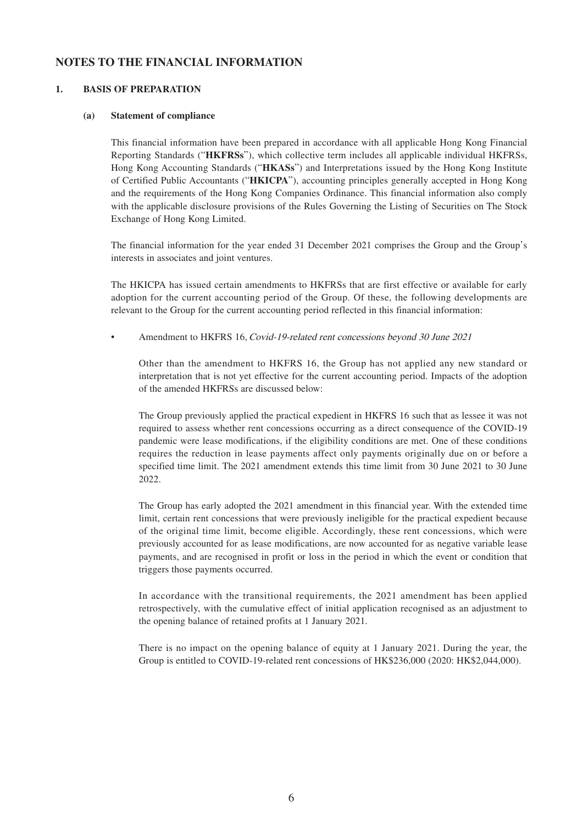#### **NOTES TO THE FINANCIAL INFORMATION**

#### **1. BASIS OF PREPARATION**

#### **(a) Statement of compliance**

This financial information have been prepared in accordance with all applicable Hong Kong Financial Reporting Standards ("**HKFRSs**"), which collective term includes all applicable individual HKFRSs, Hong Kong Accounting Standards ("**HKASs**") and Interpretations issued by the Hong Kong Institute of Certified Public Accountants ("**HKICPA**"), accounting principles generally accepted in Hong Kong and the requirements of the Hong Kong Companies Ordinance. This financial information also comply with the applicable disclosure provisions of the Rules Governing the Listing of Securities on The Stock Exchange of Hong Kong Limited.

The financial information for the year ended 31 December 2021 comprises the Group and the Group's interests in associates and joint ventures.

The HKICPA has issued certain amendments to HKFRSs that are first effective or available for early adoption for the current accounting period of the Group. Of these, the following developments are relevant to the Group for the current accounting period reflected in this financial information:

• Amendment to HKFRS 16, Covid-19-related rent concessions beyond 30 June 2021

Other than the amendment to HKFRS 16, the Group has not applied any new standard or interpretation that is not yet effective for the current accounting period. Impacts of the adoption of the amended HKFRSs are discussed below:

The Group previously applied the practical expedient in HKFRS 16 such that as lessee it was not required to assess whether rent concessions occurring as a direct consequence of the COVID-19 pandemic were lease modifications, if the eligibility conditions are met. One of these conditions requires the reduction in lease payments affect only payments originally due on or before a specified time limit. The 2021 amendment extends this time limit from 30 June 2021 to 30 June 2022

The Group has early adopted the 2021 amendment in this financial year. With the extended time limit, certain rent concessions that were previously ineligible for the practical expedient because of the original time limit, become eligible. Accordingly, these rent concessions, which were previously accounted for as lease modifications, are now accounted for as negative variable lease payments, and are recognised in profit or loss in the period in which the event or condition that triggers those payments occurred.

In accordance with the transitional requirements, the 2021 amendment has been applied retrospectively, with the cumulative effect of initial application recognised as an adjustment to the opening balance of retained profits at 1 January 2021.

There is no impact on the opening balance of equity at 1 January 2021. During the year, the Group is entitled to COVID-19-related rent concessions of HK\$236,000 (2020: HK\$2,044,000).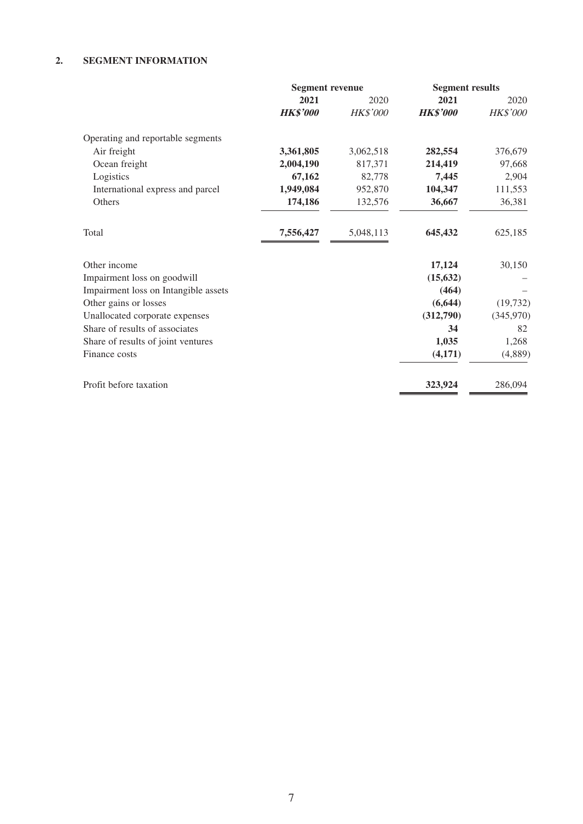#### **2. SEGMENT INFORMATION**

|                                      | <b>Segment revenue</b> |                 | <b>Segment results</b> |           |
|--------------------------------------|------------------------|-----------------|------------------------|-----------|
|                                      | 2021                   | 2020            | 2021                   | 2020      |
|                                      | <b>HK\$'000</b>        | <b>HK\$'000</b> | <b>HK\$'000</b>        | HK\$'000  |
| Operating and reportable segments    |                        |                 |                        |           |
| Air freight                          | 3,361,805              | 3,062,518       | 282,554                | 376,679   |
| Ocean freight                        | 2,004,190              | 817,371         | 214,419                | 97,668    |
| Logistics                            | 67,162                 | 82,778          | 7,445                  | 2,904     |
| International express and parcel     | 1,949,084              | 952,870         | 104,347                | 111,553   |
| Others                               | 174,186                | 132,576         | 36,667                 | 36,381    |
| Total                                | 7,556,427              | 5,048,113       | 645,432                | 625,185   |
| Other income                         |                        |                 | 17,124                 | 30,150    |
| Impairment loss on goodwill          |                        |                 | (15, 632)              |           |
| Impairment loss on Intangible assets |                        |                 | (464)                  |           |
| Other gains or losses                |                        |                 | (6, 644)               | (19, 732) |
| Unallocated corporate expenses       |                        |                 | (312,790)              | (345,970) |
| Share of results of associates       |                        |                 | 34                     | 82        |
| Share of results of joint ventures   |                        |                 | 1,035                  | 1,268     |
| Finance costs                        |                        |                 | (4,171)                | (4,889)   |
| Profit before taxation               |                        |                 | 323,924                | 286,094   |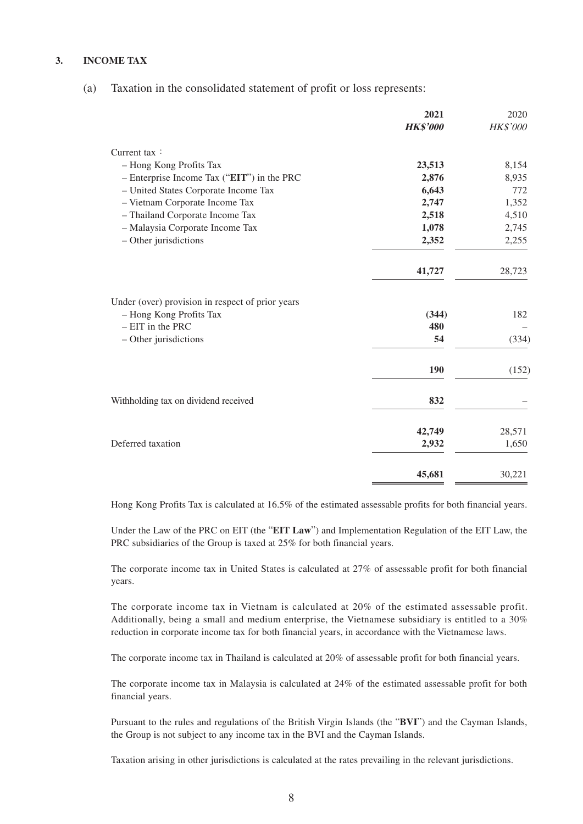#### **3. INCOME TAX**

(a) Taxation in the consolidated statement of profit or loss represents:

|                                                  | 2021            | 2020     |
|--------------------------------------------------|-----------------|----------|
|                                                  | <b>HK\$'000</b> | HK\$'000 |
| Current tax:                                     |                 |          |
| - Hong Kong Profits Tax                          | 23,513          | 8,154    |
| $-$ Enterprise Income Tax ("EIT") in the PRC     | 2,876           | 8,935    |
| - United States Corporate Income Tax             | 6,643           | 772      |
| - Vietnam Corporate Income Tax                   | 2,747           | 1,352    |
| - Thailand Corporate Income Tax                  | 2,518           | 4,510    |
| - Malaysia Corporate Income Tax                  | 1,078           | 2,745    |
| - Other jurisdictions                            | 2,352           | 2,255    |
|                                                  | 41,727          | 28,723   |
| Under (over) provision in respect of prior years |                 |          |
| - Hong Kong Profits Tax                          | (344)           | 182      |
| $- EIT$ in the PRC                               | 480             |          |
| - Other jurisdictions                            | 54              | (334)    |
|                                                  | 190             | (152)    |
| Withholding tax on dividend received             | 832             |          |
|                                                  | 42,749          | 28,571   |
| Deferred taxation                                | 2,932           | 1,650    |
|                                                  | 45,681          | 30,221   |

Hong Kong Profits Tax is calculated at 16.5% of the estimated assessable profits for both financial years.

Under the Law of the PRC on EIT (the "**EIT Law**") and Implementation Regulation of the EIT Law, the PRC subsidiaries of the Group is taxed at 25% for both financial years.

The corporate income tax in United States is calculated at 27% of assessable profit for both financial years.

The corporate income tax in Vietnam is calculated at 20% of the estimated assessable profit. Additionally, being a small and medium enterprise, the Vietnamese subsidiary is entitled to a 30% reduction in corporate income tax for both financial years, in accordance with the Vietnamese laws.

The corporate income tax in Thailand is calculated at 20% of assessable profit for both financial years.

The corporate income tax in Malaysia is calculated at 24% of the estimated assessable profit for both financial years.

Pursuant to the rules and regulations of the British Virgin Islands (the "**BVI**") and the Cayman Islands, the Group is not subject to any income tax in the BVI and the Cayman Islands.

Taxation arising in other jurisdictions is calculated at the rates prevailing in the relevant jurisdictions.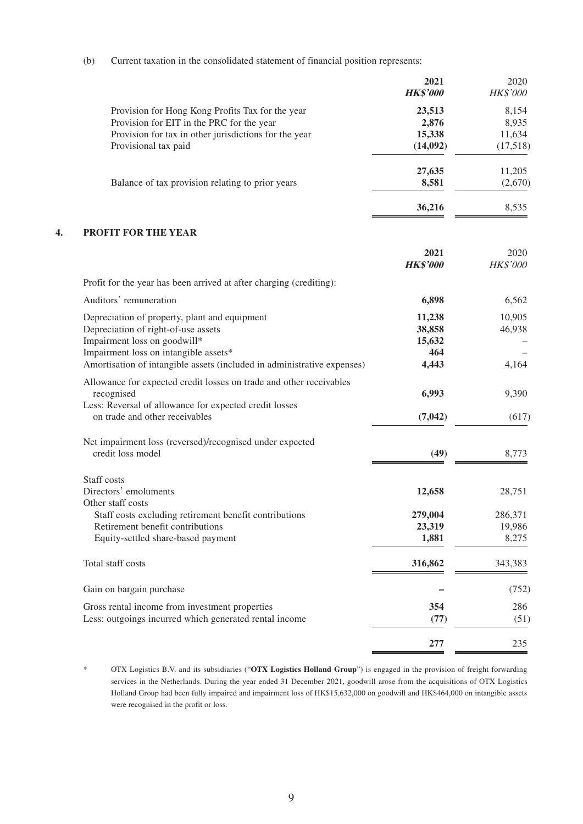(b) Current taxation in the consolidated statement of financial position represents:

|                                                       | 2021            | 2020            |
|-------------------------------------------------------|-----------------|-----------------|
|                                                       | <b>HK\$'000</b> | <b>HK\$'000</b> |
| Provision for Hong Kong Profits Tax for the year      | 23,513          | 8,154           |
| Provision for EIT in the PRC for the year             | 2,876           | 8,935           |
| Provision for tax in other jurisdictions for the year | 15,338          | 11,634          |
| Provisional tax paid                                  | (14,092)        | (17,518)        |
|                                                       | 27,635          | 11,205          |
| Balance of tax provision relating to prior years      | 8,581           | (2,670)         |
|                                                       | 36,216          | 8,535           |

#### **4. PROFIT FOR THE YEAR**

|                                                                         | 2021<br><b>HK\$'000</b> | 2020<br>HK\$'000 |
|-------------------------------------------------------------------------|-------------------------|------------------|
| Profit for the year has been arrived at after charging (crediting):     |                         |                  |
| Auditors' remuneration                                                  | 6,898                   | 6,562            |
| Depreciation of property, plant and equipment                           | 11,238                  | 10,905           |
| Depreciation of right-of-use assets                                     | 38,858                  | 46,938           |
| Impairment loss on goodwill*                                            | 15,632                  |                  |
| Impairment loss on intangible assets*                                   | 464                     |                  |
| Amortisation of intangible assets (included in administrative expenses) | 4,443                   | 4,164            |
| Allowance for expected credit losses on trade and other receivables     |                         |                  |
| recognised                                                              | 6,993                   | 9,390            |
| Less: Reversal of allowance for expected credit losses                  |                         |                  |
| on trade and other receivables                                          | (7,042)                 | (617)            |
|                                                                         |                         |                  |
| Net impairment loss (reversed)/recognised under expected                |                         |                  |
| credit loss model                                                       | (49)                    | 8,773            |
| Staff costs                                                             |                         |                  |
| Directors' emoluments                                                   | 12,658                  | 28,751           |
| Other staff costs                                                       |                         |                  |
| Staff costs excluding retirement benefit contributions                  | 279,004                 | 286,371          |
| Retirement benefit contributions                                        | 23,319                  | 19,986           |
| Equity-settled share-based payment                                      | 1,881                   | 8,275            |
| Total staff costs                                                       | 316,862                 | 343,383          |
| Gain on bargain purchase                                                |                         | (752)            |
| Gross rental income from investment properties                          | 354                     | 286              |
| Less: outgoings incurred which generated rental income                  | (77)                    | (51)             |
|                                                                         |                         |                  |
|                                                                         | 277                     | 235              |

<sup>\*</sup> OTX Logistics B.V. and its subsidiaries ("**OTX Logistics Holland Group**") is engaged in the provision of freight forwarding services in the Netherlands. During the year ended 31 December 2021, goodwill arose from the acquisitions of OTX Logistics Holland Group had been fully impaired and impairment loss of HK\$15,632,000 on goodwill and HK\$464,000 on intangible assets were recognised in the profit or loss.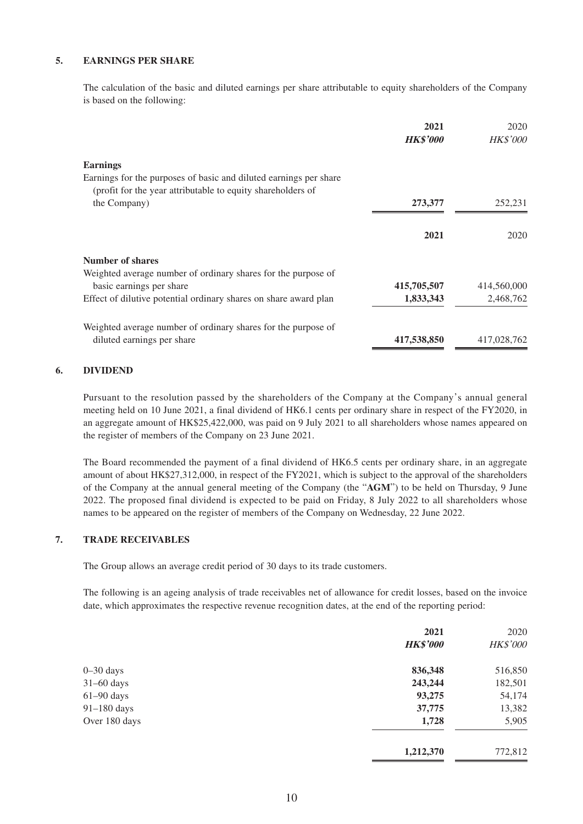#### **5. EARNINGS PER SHARE**

The calculation of the basic and diluted earnings per share attributable to equity shareholders of the Company is based on the following:

|                                                                                                                                  | 2021<br><b>HK\$'000</b> | 2020<br><b>HK\$'000</b> |
|----------------------------------------------------------------------------------------------------------------------------------|-------------------------|-------------------------|
| <b>Earnings</b>                                                                                                                  |                         |                         |
| Earnings for the purposes of basic and diluted earnings per share<br>(profit for the year attributable to equity shareholders of |                         |                         |
| the Company)                                                                                                                     | 273,377                 | 252,231                 |
|                                                                                                                                  | 2021                    | 2020                    |
| Number of shares                                                                                                                 |                         |                         |
| Weighted average number of ordinary shares for the purpose of                                                                    |                         |                         |
| basic earnings per share                                                                                                         | 415,705,507             | 414,560,000             |
| Effect of dilutive potential ordinary shares on share award plan                                                                 | 1,833,343               | 2,468,762               |
| Weighted average number of ordinary shares for the purpose of                                                                    |                         |                         |
| diluted earnings per share                                                                                                       | 417,538,850             | 417,028,762             |

#### **6. DIVIDEND**

Pursuant to the resolution passed by the shareholders of the Company at the Company's annual general meeting held on 10 June 2021, a final dividend of HK6.1 cents per ordinary share in respect of the FY2020, in an aggregate amount of HK\$25,422,000, was paid on 9 July 2021 to all shareholders whose names appeared on the register of members of the Company on 23 June 2021.

The Board recommended the payment of a final dividend of HK6.5 cents per ordinary share, in an aggregate amount of about HK\$27,312,000, in respect of the FY2021, which is subject to the approval of the shareholders of the Company at the annual general meeting of the Company (the "**AGM**") to be held on Thursday, 9 June 2022. The proposed final dividend is expected to be paid on Friday, 8 July 2022 to all shareholders whose names to be appeared on the register of members of the Company on Wednesday, 22 June 2022.

#### **7. TRADE RECEIVABLES**

The Group allows an average credit period of 30 days to its trade customers.

The following is an ageing analysis of trade receivables net of allowance for credit losses, based on the invoice date, which approximates the respective revenue recognition dates, at the end of the reporting period:

|               | 2021<br><b>HK\$'000</b> | 2020<br>HK\$'000 |
|---------------|-------------------------|------------------|
|               |                         |                  |
| $0 - 30$ days | 836,348                 | 516,850          |
| $31-60$ days  | 243,244                 | 182,501          |
| $61-90$ days  | 93,275                  | 54,174           |
| $91-180$ days | 37,775                  | 13,382           |
| Over 180 days | 1,728                   | 5,905            |
|               | 1,212,370               | 772,812          |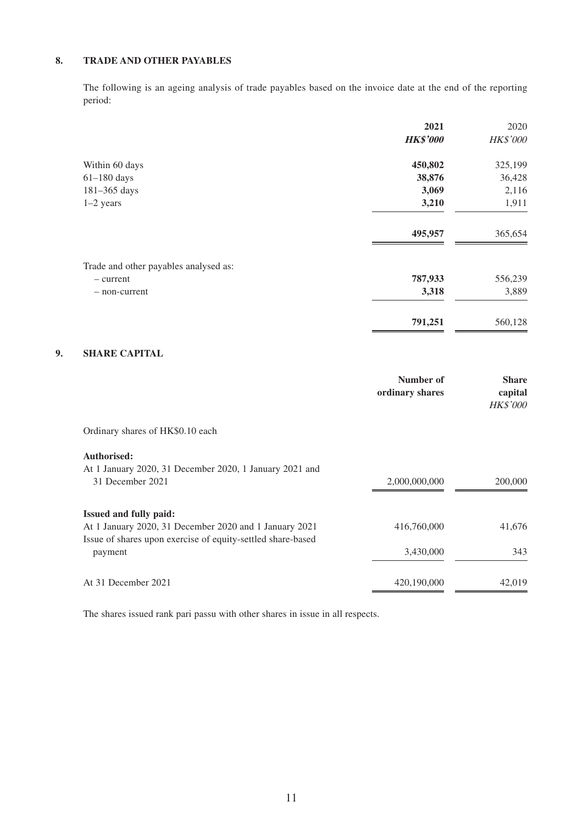#### **8. TRADE AND OTHER PAYABLES**

The following is an ageing analysis of trade payables based on the invoice date at the end of the reporting period:

|                                       | 2021            | 2020     |
|---------------------------------------|-----------------|----------|
|                                       | <b>HK\$'000</b> | HK\$'000 |
| Within 60 days                        | 450,802         | 325,199  |
| $61-180$ days                         | 38,876          | 36,428   |
| 181-365 days                          | 3,069           | 2,116    |
| $1-2$ years                           | 3,210           | 1,911    |
|                                       | 495,957         | 365,654  |
| Trade and other payables analysed as: |                 |          |
| - current                             | 787,933         | 556,239  |
| - non-current                         | 3,318           | 3,889    |
|                                       | 791,251         | 560,128  |

#### **9. SHARE CAPITAL**

|                                                             | Number of<br>ordinary shares | <b>Share</b><br>capital<br><b>HK\$'000</b> |
|-------------------------------------------------------------|------------------------------|--------------------------------------------|
| Ordinary shares of HK\$0.10 each                            |                              |                                            |
| Authorised:                                                 |                              |                                            |
| At 1 January 2020, 31 December 2020, 1 January 2021 and     |                              |                                            |
| 31 December 2021                                            | 2,000,000,000                | 200,000                                    |
| <b>Issued and fully paid:</b>                               |                              |                                            |
| At 1 January 2020, 31 December 2020 and 1 January 2021      | 416,760,000                  | 41,676                                     |
| Issue of shares upon exercise of equity-settled share-based |                              |                                            |
| payment                                                     | 3,430,000                    | 343                                        |
| At 31 December 2021                                         | 420,190,000                  | 42,019                                     |

The shares issued rank pari passu with other shares in issue in all respects.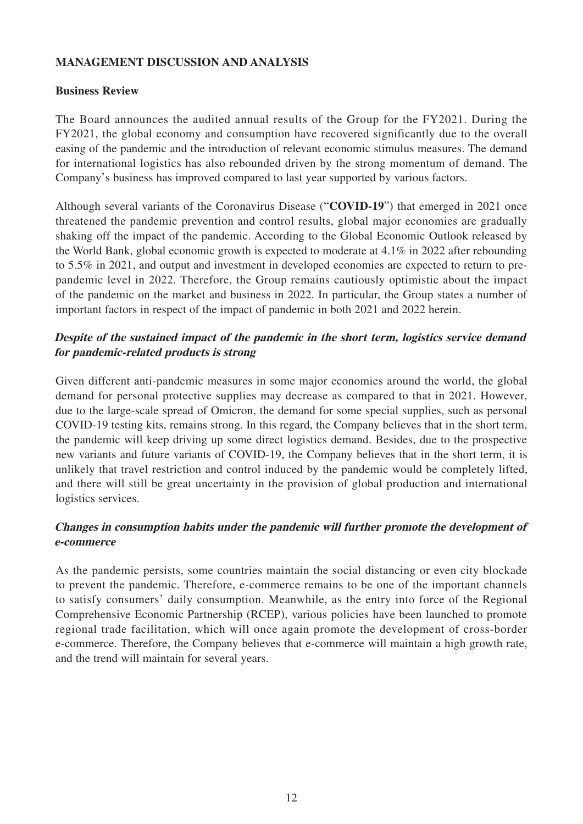#### **MANAGEMENT DISCUSSION AND ANALYSIS**

#### **Business Review**

The Board announces the audited annual results of the Group for the FY2021. During the FY2021, the global economy and consumption have recovered significantly due to the overall easing of the pandemic and the introduction of relevant economic stimulus measures. The demand for international logistics has also rebounded driven by the strong momentum of demand. The Company's business has improved compared to last year supported by various factors.

Although several variants of the Coronavirus Disease ("**COVID-19**") that emerged in 2021 once threatened the pandemic prevention and control results, global major economies are gradually shaking off the impact of the pandemic. According to the Global Economic Outlook released by the World Bank, global economic growth is expected to moderate at 4.1% in 2022 after rebounding to 5.5% in 2021, and output and investment in developed economies are expected to return to prepandemic level in 2022. Therefore, the Group remains cautiously optimistic about the impact of the pandemic on the market and business in 2022. In particular, the Group states a number of important factors in respect of the impact of pandemic in both 2021 and 2022 herein.

## **Despite of the sustained impact of the pandemic in the short term, logistics service demand for pandemic-related products is strong**

Given different anti-pandemic measures in some major economies around the world, the global demand for personal protective supplies may decrease as compared to that in 2021. However, due to the large-scale spread of Omicron, the demand for some special supplies, such as personal COVID-19 testing kits, remains strong. In this regard, the Company believes that in the short term, the pandemic will keep driving up some direct logistics demand. Besides, due to the prospective new variants and future variants of COVID-19, the Company believes that in the short term, it is unlikely that travel restriction and control induced by the pandemic would be completely lifted, and there will still be great uncertainty in the provision of global production and international logistics services.

## **Changes in consumption habits under the pandemic will further promote the development of e-commerce**

As the pandemic persists, some countries maintain the social distancing or even city blockade to prevent the pandemic. Therefore, e-commerce remains to be one of the important channels to satisfy consumers' daily consumption. Meanwhile, as the entry into force of the Regional Comprehensive Economic Partnership (RCEP), various policies have been launched to promote regional trade facilitation, which will once again promote the development of cross-border e-commerce. Therefore, the Company believes that e-commerce will maintain a high growth rate, and the trend will maintain for several years.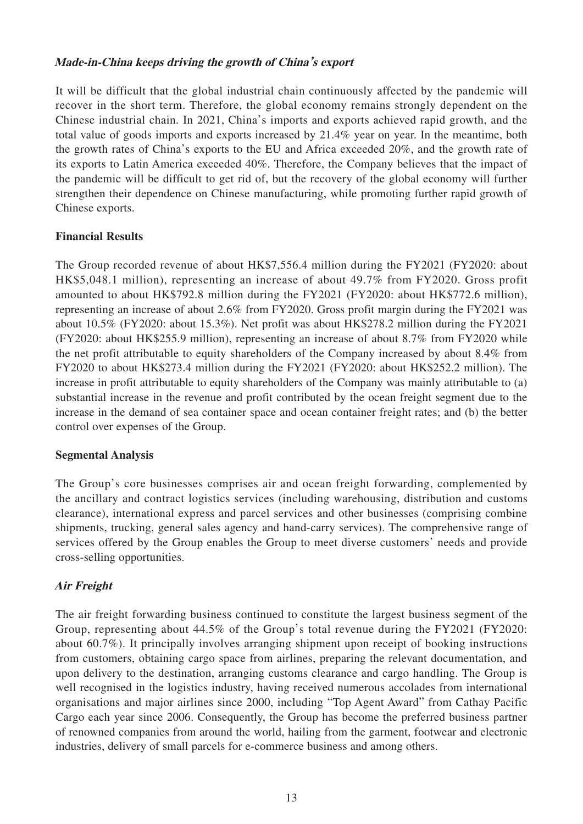#### **Made-in-China keeps driving the growth of China's export**

It will be difficult that the global industrial chain continuously affected by the pandemic will recover in the short term. Therefore, the global economy remains strongly dependent on the Chinese industrial chain. In 2021, China's imports and exports achieved rapid growth, and the total value of goods imports and exports increased by 21.4% year on year. In the meantime, both the growth rates of China's exports to the EU and Africa exceeded 20%, and the growth rate of its exports to Latin America exceeded 40%. Therefore, the Company believes that the impact of the pandemic will be difficult to get rid of, but the recovery of the global economy will further strengthen their dependence on Chinese manufacturing, while promoting further rapid growth of Chinese exports.

## **Financial Results**

The Group recorded revenue of about HK\$7,556.4 million during the FY2021 (FY2020: about HK\$5,048.1 million), representing an increase of about 49.7% from FY2020. Gross profit amounted to about HK\$792.8 million during the FY2021 (FY2020: about HK\$772.6 million), representing an increase of about 2.6% from FY2020. Gross profit margin during the FY2021 was about 10.5% (FY2020: about 15.3%). Net profit was about HK\$278.2 million during the FY2021 (FY2020: about HK\$255.9 million), representing an increase of about 8.7% from FY2020 while the net profit attributable to equity shareholders of the Company increased by about 8.4% from FY2020 to about HK\$273.4 million during the FY2021 (FY2020: about HK\$252.2 million). The increase in profit attributable to equity shareholders of the Company was mainly attributable to (a) substantial increase in the revenue and profit contributed by the ocean freight segment due to the increase in the demand of sea container space and ocean container freight rates; and (b) the better control over expenses of the Group.

#### **Segmental Analysis**

The Group's core businesses comprises air and ocean freight forwarding, complemented by the ancillary and contract logistics services (including warehousing, distribution and customs clearance), international express and parcel services and other businesses (comprising combine shipments, trucking, general sales agency and hand-carry services). The comprehensive range of services offered by the Group enables the Group to meet diverse customers' needs and provide cross-selling opportunities.

## **Air Freight**

The air freight forwarding business continued to constitute the largest business segment of the Group, representing about 44.5% of the Group's total revenue during the FY2021 (FY2020: about 60.7%). It principally involves arranging shipment upon receipt of booking instructions from customers, obtaining cargo space from airlines, preparing the relevant documentation, and upon delivery to the destination, arranging customs clearance and cargo handling. The Group is well recognised in the logistics industry, having received numerous accolades from international organisations and major airlines since 2000, including "Top Agent Award" from Cathay Pacific Cargo each year since 2006. Consequently, the Group has become the preferred business partner of renowned companies from around the world, hailing from the garment, footwear and electronic industries, delivery of small parcels for e-commerce business and among others.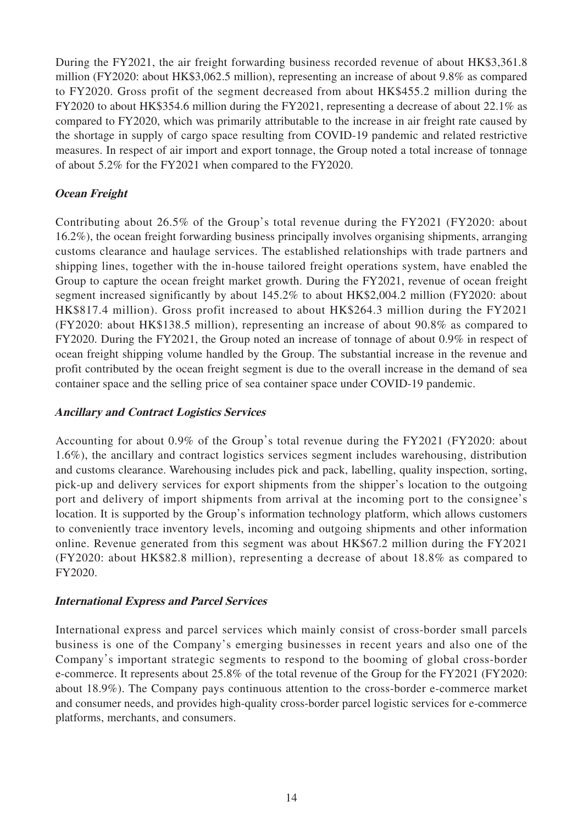During the FY2021, the air freight forwarding business recorded revenue of about HK\$3,361.8 million (FY2020: about HK\$3,062.5 million), representing an increase of about 9.8% as compared to FY2020. Gross profit of the segment decreased from about HK\$455.2 million during the FY2020 to about HK\$354.6 million during the FY2021, representing a decrease of about 22.1% as compared to FY2020, which was primarily attributable to the increase in air freight rate caused by the shortage in supply of cargo space resulting from COVID-19 pandemic and related restrictive measures. In respect of air import and export tonnage, the Group noted a total increase of tonnage of about 5.2% for the FY2021 when compared to the FY2020.

## **Ocean Freight**

Contributing about 26.5% of the Group's total revenue during the FY2021 (FY2020: about 16.2%), the ocean freight forwarding business principally involves organising shipments, arranging customs clearance and haulage services. The established relationships with trade partners and shipping lines, together with the in-house tailored freight operations system, have enabled the Group to capture the ocean freight market growth. During the FY2021, revenue of ocean freight segment increased significantly by about 145.2% to about HK\$2,004.2 million (FY2020: about HK\$817.4 million). Gross profit increased to about HK\$264.3 million during the FY2021 (FY2020: about HK\$138.5 million), representing an increase of about 90.8% as compared to FY2020. During the FY2021, the Group noted an increase of tonnage of about 0.9% in respect of ocean freight shipping volume handled by the Group. The substantial increase in the revenue and profit contributed by the ocean freight segment is due to the overall increase in the demand of sea container space and the selling price of sea container space under COVID-19 pandemic.

## **Ancillary and Contract Logistics Services**

Accounting for about 0.9% of the Group's total revenue during the FY2021 (FY2020: about 1.6%), the ancillary and contract logistics services segment includes warehousing, distribution and customs clearance. Warehousing includes pick and pack, labelling, quality inspection, sorting, pick-up and delivery services for export shipments from the shipper's location to the outgoing port and delivery of import shipments from arrival at the incoming port to the consignee's location. It is supported by the Group's information technology platform, which allows customers to conveniently trace inventory levels, incoming and outgoing shipments and other information online. Revenue generated from this segment was about HK\$67.2 million during the FY2021 (FY2020: about HK\$82.8 million), representing a decrease of about 18.8% as compared to FY2020.

#### **International Express and Parcel Services**

International express and parcel services which mainly consist of cross-border small parcels business is one of the Company's emerging businesses in recent years and also one of the Company's important strategic segments to respond to the booming of global cross-border e-commerce. It represents about 25.8% of the total revenue of the Group for the FY2021 (FY2020: about 18.9%). The Company pays continuous attention to the cross-border e-commerce market and consumer needs, and provides high-quality cross-border parcel logistic services for e-commerce platforms, merchants, and consumers.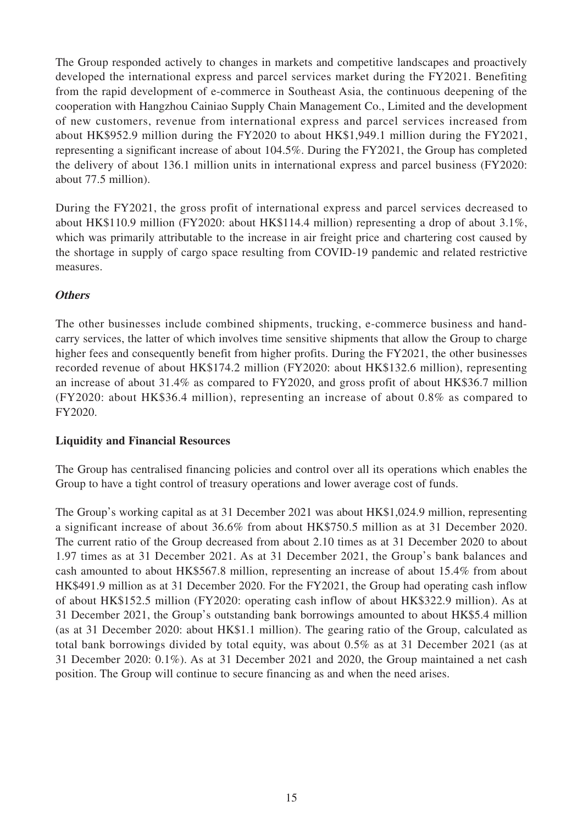The Group responded actively to changes in markets and competitive landscapes and proactively developed the international express and parcel services market during the FY2021. Benefiting from the rapid development of e-commerce in Southeast Asia, the continuous deepening of the cooperation with Hangzhou Cainiao Supply Chain Management Co., Limited and the development of new customers, revenue from international express and parcel services increased from about HK\$952.9 million during the FY2020 to about HK\$1,949.1 million during the FY2021, representing a significant increase of about 104.5%. During the FY2021, the Group has completed the delivery of about 136.1 million units in international express and parcel business (FY2020: about 77.5 million).

During the FY2021, the gross profit of international express and parcel services decreased to about HK\$110.9 million (FY2020: about HK\$114.4 million) representing a drop of about 3.1%, which was primarily attributable to the increase in air freight price and chartering cost caused by the shortage in supply of cargo space resulting from COVID-19 pandemic and related restrictive measures.

## **Others**

The other businesses include combined shipments, trucking, e-commerce business and handcarry services, the latter of which involves time sensitive shipments that allow the Group to charge higher fees and consequently benefit from higher profits. During the FY2021, the other businesses recorded revenue of about HK\$174.2 million (FY2020: about HK\$132.6 million), representing an increase of about 31.4% as compared to FY2020, and gross profit of about HK\$36.7 million (FY2020: about HK\$36.4 million), representing an increase of about 0.8% as compared to FY2020.

#### **Liquidity and Financial Resources**

The Group has centralised financing policies and control over all its operations which enables the Group to have a tight control of treasury operations and lower average cost of funds.

The Group's working capital as at 31 December 2021 was about HK\$1,024.9 million, representing a significant increase of about 36.6% from about HK\$750.5 million as at 31 December 2020. The current ratio of the Group decreased from about 2.10 times as at 31 December 2020 to about 1.97 times as at 31 December 2021. As at 31 December 2021, the Group's bank balances and cash amounted to about HK\$567.8 million, representing an increase of about 15.4% from about HK\$491.9 million as at 31 December 2020. For the FY2021, the Group had operating cash inflow of about HK\$152.5 million (FY2020: operating cash inflow of about HK\$322.9 million). As at 31 December 2021, the Group's outstanding bank borrowings amounted to about HK\$5.4 million (as at 31 December 2020: about HK\$1.1 million). The gearing ratio of the Group, calculated as total bank borrowings divided by total equity, was about 0.5% as at 31 December 2021 (as at 31 December 2020: 0.1%). As at 31 December 2021 and 2020, the Group maintained a net cash position. The Group will continue to secure financing as and when the need arises.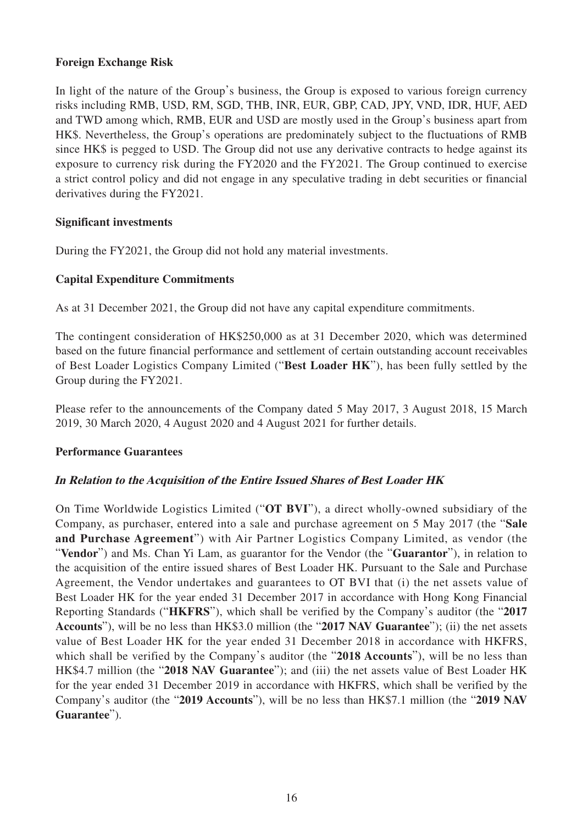#### **Foreign Exchange Risk**

In light of the nature of the Group's business, the Group is exposed to various foreign currency risks including RMB, USD, RM, SGD, THB, INR, EUR, GBP, CAD, JPY, VND, IDR, HUF, AED and TWD among which, RMB, EUR and USD are mostly used in the Group's business apart from HK\$. Nevertheless, the Group's operations are predominately subject to the fluctuations of RMB since HK\$ is pegged to USD. The Group did not use any derivative contracts to hedge against its exposure to currency risk during the FY2020 and the FY2021. The Group continued to exercise a strict control policy and did not engage in any speculative trading in debt securities or financial derivatives during the FY2021.

#### **Significant investments**

During the FY2021, the Group did not hold any material investments.

## **Capital Expenditure Commitments**

As at 31 December 2021, the Group did not have any capital expenditure commitments.

The contingent consideration of HK\$250,000 as at 31 December 2020, which was determined based on the future financial performance and settlement of certain outstanding account receivables of Best Loader Logistics Company Limited ("**Best Loader HK**"), has been fully settled by the Group during the FY2021.

Please refer to the announcements of the Company dated 5 May 2017, 3 August 2018, 15 March 2019, 30 March 2020, 4 August 2020 and 4 August 2021 for further details.

#### **Performance Guarantees**

#### **In Relation to the Acquisition of the Entire Issued Shares of Best Loader HK**

On Time Worldwide Logistics Limited ("**OT BVI**"), a direct wholly-owned subsidiary of the Company, as purchaser, entered into a sale and purchase agreement on 5 May 2017 (the "**Sale and Purchase Agreement**") with Air Partner Logistics Company Limited, as vendor (the "**Vendor**") and Ms. Chan Yi Lam, as guarantor for the Vendor (the "**Guarantor**"), in relation to the acquisition of the entire issued shares of Best Loader HK. Pursuant to the Sale and Purchase Agreement, the Vendor undertakes and guarantees to OT BVI that (i) the net assets value of Best Loader HK for the year ended 31 December 2017 in accordance with Hong Kong Financial Reporting Standards ("**HKFRS**"), which shall be verified by the Company's auditor (the "**2017 Accounts**"), will be no less than HK\$3.0 million (the "**2017 NAV Guarantee**"); (ii) the net assets value of Best Loader HK for the year ended 31 December 2018 in accordance with HKFRS, which shall be verified by the Company's auditor (the "**2018 Accounts**"), will be no less than HK\$4.7 million (the "**2018 NAV Guarantee**"); and (iii) the net assets value of Best Loader HK for the year ended 31 December 2019 in accordance with HKFRS, which shall be verified by the Company's auditor (the "**2019 Accounts**"), will be no less than HK\$7.1 million (the "**2019 NAV Guarantee**").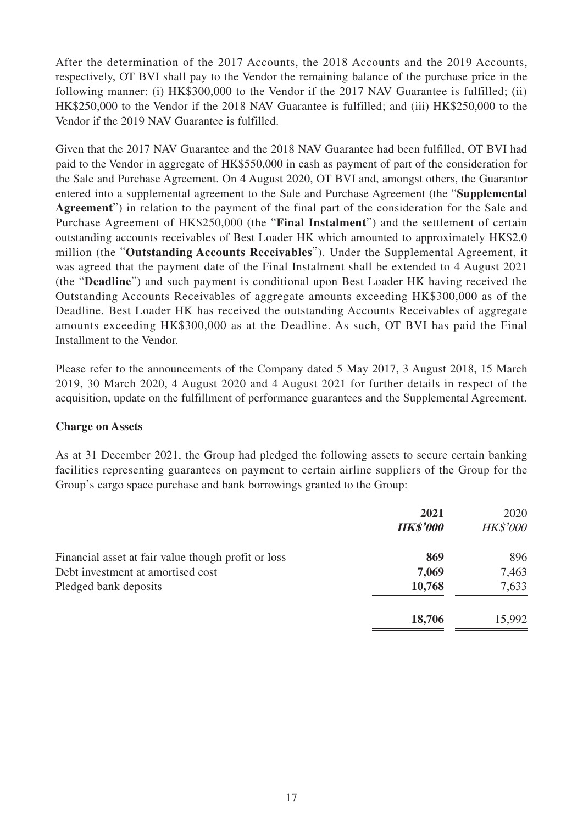After the determination of the 2017 Accounts, the 2018 Accounts and the 2019 Accounts, respectively, OT BVI shall pay to the Vendor the remaining balance of the purchase price in the following manner: (i) HK\$300,000 to the Vendor if the 2017 NAV Guarantee is fulfilled; (ii) HK\$250,000 to the Vendor if the 2018 NAV Guarantee is fulfilled; and (iii) HK\$250,000 to the Vendor if the 2019 NAV Guarantee is fulfilled.

Given that the 2017 NAV Guarantee and the 2018 NAV Guarantee had been fulfilled, OT BVI had paid to the Vendor in aggregate of HK\$550,000 in cash as payment of part of the consideration for the Sale and Purchase Agreement. On 4 August 2020, OT BVI and, amongst others, the Guarantor entered into a supplemental agreement to the Sale and Purchase Agreement (the "**Supplemental Agreement**") in relation to the payment of the final part of the consideration for the Sale and Purchase Agreement of HK\$250,000 (the "**Final Instalment**") and the settlement of certain outstanding accounts receivables of Best Loader HK which amounted to approximately HK\$2.0 million (the "**Outstanding Accounts Receivables**"). Under the Supplemental Agreement, it was agreed that the payment date of the Final Instalment shall be extended to 4 August 2021 (the "**Deadline**") and such payment is conditional upon Best Loader HK having received the Outstanding Accounts Receivables of aggregate amounts exceeding HK\$300,000 as of the Deadline. Best Loader HK has received the outstanding Accounts Receivables of aggregate amounts exceeding HK\$300,000 as at the Deadline. As such, OT BVI has paid the Final Installment to the Vendor.

Please refer to the announcements of the Company dated 5 May 2017, 3 August 2018, 15 March 2019, 30 March 2020, 4 August 2020 and 4 August 2021 for further details in respect of the acquisition, update on the fulfillment of performance guarantees and the Supplemental Agreement.

#### **Charge on Assets**

As at 31 December 2021, the Group had pledged the following assets to secure certain banking facilities representing guarantees on payment to certain airline suppliers of the Group for the Group's cargo space purchase and bank borrowings granted to the Group:

|                                                     | 2021<br><b>HK\$'000</b> | 2020<br><b>HK\$'000</b> |
|-----------------------------------------------------|-------------------------|-------------------------|
| Financial asset at fair value though profit or loss | 869                     | 896                     |
| Debt investment at amortised cost                   | 7,069                   | 7,463                   |
| Pledged bank deposits                               | 10,768                  | 7,633                   |
|                                                     | 18,706                  | 15,992                  |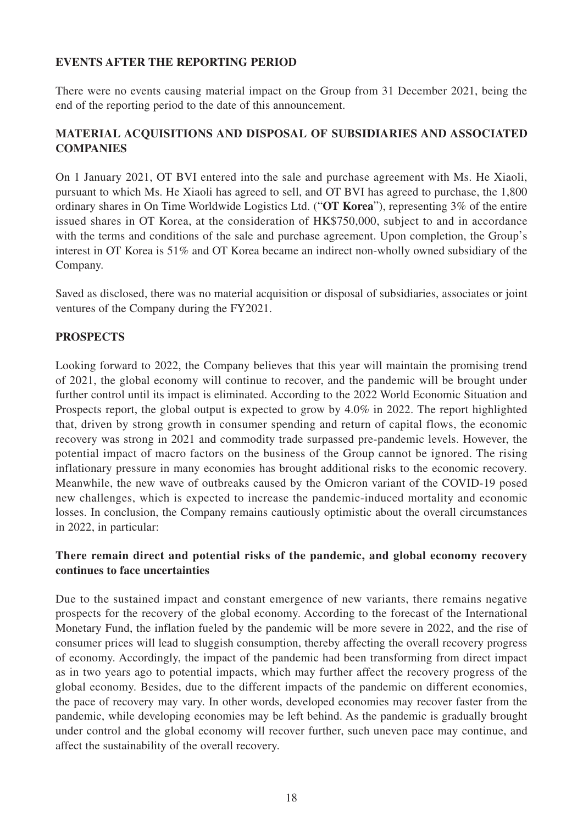## **EVENTS AFTER THE REPORTING PERIOD**

There were no events causing material impact on the Group from 31 December 2021, being the end of the reporting period to the date of this announcement.

## **MATERIAL ACQUISITIONS AND DISPOSAL OF SUBSIDIARIES AND ASSOCIATED COMPANIES**

On 1 January 2021, OT BVI entered into the sale and purchase agreement with Ms. He Xiaoli, pursuant to which Ms. He Xiaoli has agreed to sell, and OT BVI has agreed to purchase, the 1,800 ordinary shares in On Time Worldwide Logistics Ltd. ("**OT Korea**"), representing 3% of the entire issued shares in OT Korea, at the consideration of HK\$750,000, subject to and in accordance with the terms and conditions of the sale and purchase agreement. Upon completion, the Group's interest in OT Korea is 51% and OT Korea became an indirect non-wholly owned subsidiary of the Company.

Saved as disclosed, there was no material acquisition or disposal of subsidiaries, associates or joint ventures of the Company during the FY2021.

## **PROSPECTS**

Looking forward to 2022, the Company believes that this year will maintain the promising trend of 2021, the global economy will continue to recover, and the pandemic will be brought under further control until its impact is eliminated. According to the 2022 World Economic Situation and Prospects report, the global output is expected to grow by 4.0% in 2022. The report highlighted that, driven by strong growth in consumer spending and return of capital flows, the economic recovery was strong in 2021 and commodity trade surpassed pre-pandemic levels. However, the potential impact of macro factors on the business of the Group cannot be ignored. The rising inflationary pressure in many economies has brought additional risks to the economic recovery. Meanwhile, the new wave of outbreaks caused by the Omicron variant of the COVID-19 posed new challenges, which is expected to increase the pandemic-induced mortality and economic losses. In conclusion, the Company remains cautiously optimistic about the overall circumstances in 2022, in particular:

## **There remain direct and potential risks of the pandemic, and global economy recovery continues to face uncertainties**

Due to the sustained impact and constant emergence of new variants, there remains negative prospects for the recovery of the global economy. According to the forecast of the International Monetary Fund, the inflation fueled by the pandemic will be more severe in 2022, and the rise of consumer prices will lead to sluggish consumption, thereby affecting the overall recovery progress of economy. Accordingly, the impact of the pandemic had been transforming from direct impact as in two years ago to potential impacts, which may further affect the recovery progress of the global economy. Besides, due to the different impacts of the pandemic on different economies, the pace of recovery may vary. In other words, developed economies may recover faster from the pandemic, while developing economies may be left behind. As the pandemic is gradually brought under control and the global economy will recover further, such uneven pace may continue, and affect the sustainability of the overall recovery.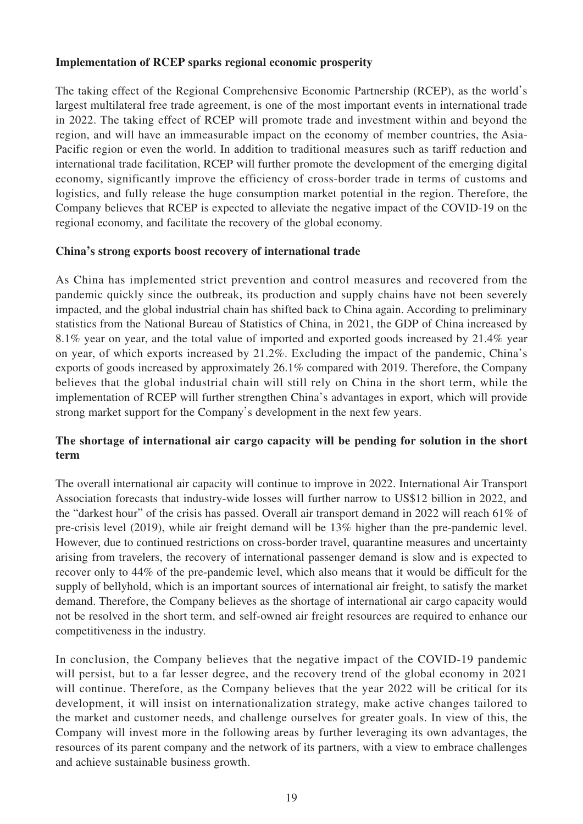#### **Implementation of RCEP sparks regional economic prosperity**

The taking effect of the Regional Comprehensive Economic Partnership (RCEP), as the world's largest multilateral free trade agreement, is one of the most important events in international trade in 2022. The taking effect of RCEP will promote trade and investment within and beyond the region, and will have an immeasurable impact on the economy of member countries, the Asia-Pacific region or even the world. In addition to traditional measures such as tariff reduction and international trade facilitation, RCEP will further promote the development of the emerging digital economy, significantly improve the efficiency of cross-border trade in terms of customs and logistics, and fully release the huge consumption market potential in the region. Therefore, the Company believes that RCEP is expected to alleviate the negative impact of the COVID-19 on the regional economy, and facilitate the recovery of the global economy.

#### **China's strong exports boost recovery of international trade**

As China has implemented strict prevention and control measures and recovered from the pandemic quickly since the outbreak, its production and supply chains have not been severely impacted, and the global industrial chain has shifted back to China again. According to preliminary statistics from the National Bureau of Statistics of China, in 2021, the GDP of China increased by 8.1% year on year, and the total value of imported and exported goods increased by 21.4% year on year, of which exports increased by 21.2%. Excluding the impact of the pandemic, China's exports of goods increased by approximately 26.1% compared with 2019. Therefore, the Company believes that the global industrial chain will still rely on China in the short term, while the implementation of RCEP will further strengthen China's advantages in export, which will provide strong market support for the Company's development in the next few years.

## **The shortage of international air cargo capacity will be pending for solution in the short term**

The overall international air capacity will continue to improve in 2022. International Air Transport Association forecasts that industry-wide losses will further narrow to US\$12 billion in 2022, and the "darkest hour" of the crisis has passed. Overall air transport demand in 2022 will reach 61% of pre-crisis level (2019), while air freight demand will be 13% higher than the pre-pandemic level. However, due to continued restrictions on cross-border travel, quarantine measures and uncertainty arising from travelers, the recovery of international passenger demand is slow and is expected to recover only to 44% of the pre-pandemic level, which also means that it would be difficult for the supply of bellyhold, which is an important sources of international air freight, to satisfy the market demand. Therefore, the Company believes as the shortage of international air cargo capacity would not be resolved in the short term, and self-owned air freight resources are required to enhance our competitiveness in the industry.

In conclusion, the Company believes that the negative impact of the COVID-19 pandemic will persist, but to a far lesser degree, and the recovery trend of the global economy in 2021 will continue. Therefore, as the Company believes that the year 2022 will be critical for its development, it will insist on internationalization strategy, make active changes tailored to the market and customer needs, and challenge ourselves for greater goals. In view of this, the Company will invest more in the following areas by further leveraging its own advantages, the resources of its parent company and the network of its partners, with a view to embrace challenges and achieve sustainable business growth.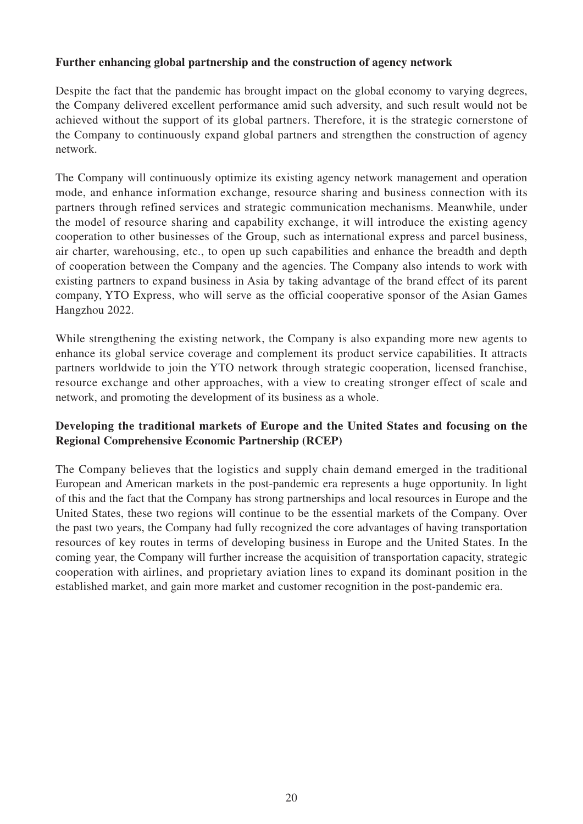#### **Further enhancing global partnership and the construction of agency network**

Despite the fact that the pandemic has brought impact on the global economy to varying degrees, the Company delivered excellent performance amid such adversity, and such result would not be achieved without the support of its global partners. Therefore, it is the strategic cornerstone of the Company to continuously expand global partners and strengthen the construction of agency network.

The Company will continuously optimize its existing agency network management and operation mode, and enhance information exchange, resource sharing and business connection with its partners through refined services and strategic communication mechanisms. Meanwhile, under the model of resource sharing and capability exchange, it will introduce the existing agency cooperation to other businesses of the Group, such as international express and parcel business, air charter, warehousing, etc., to open up such capabilities and enhance the breadth and depth of cooperation between the Company and the agencies. The Company also intends to work with existing partners to expand business in Asia by taking advantage of the brand effect of its parent company, YTO Express, who will serve as the official cooperative sponsor of the Asian Games Hangzhou 2022.

While strengthening the existing network, the Company is also expanding more new agents to enhance its global service coverage and complement its product service capabilities. It attracts partners worldwide to join the YTO network through strategic cooperation, licensed franchise, resource exchange and other approaches, with a view to creating stronger effect of scale and network, and promoting the development of its business as a whole.

#### **Developing the traditional markets of Europe and the United States and focusing on the Regional Comprehensive Economic Partnership (RCEP)**

The Company believes that the logistics and supply chain demand emerged in the traditional European and American markets in the post-pandemic era represents a huge opportunity. In light of this and the fact that the Company has strong partnerships and local resources in Europe and the United States, these two regions will continue to be the essential markets of the Company. Over the past two years, the Company had fully recognized the core advantages of having transportation resources of key routes in terms of developing business in Europe and the United States. In the coming year, the Company will further increase the acquisition of transportation capacity, strategic cooperation with airlines, and proprietary aviation lines to expand its dominant position in the established market, and gain more market and customer recognition in the post-pandemic era.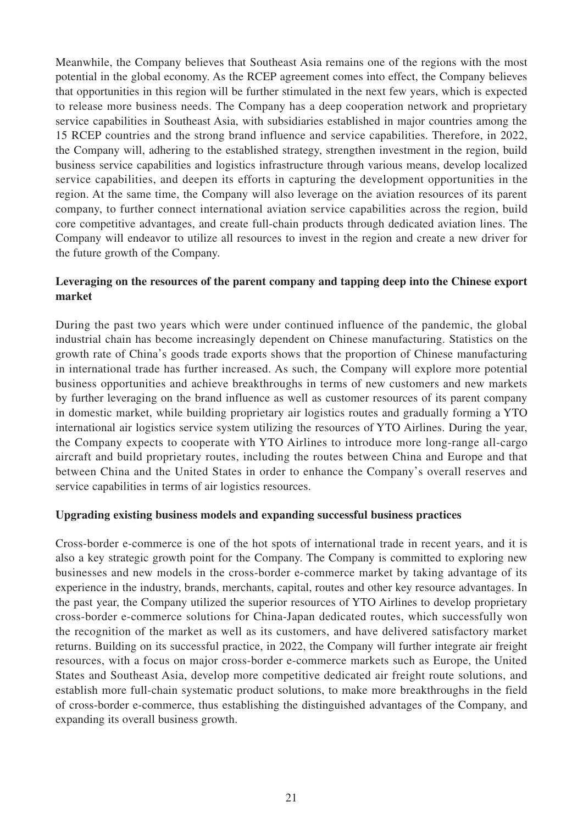Meanwhile, the Company believes that Southeast Asia remains one of the regions with the most potential in the global economy. As the RCEP agreement comes into effect, the Company believes that opportunities in this region will be further stimulated in the next few years, which is expected to release more business needs. The Company has a deep cooperation network and proprietary service capabilities in Southeast Asia, with subsidiaries established in major countries among the 15 RCEP countries and the strong brand influence and service capabilities. Therefore, in 2022, the Company will, adhering to the established strategy, strengthen investment in the region, build business service capabilities and logistics infrastructure through various means, develop localized service capabilities, and deepen its efforts in capturing the development opportunities in the region. At the same time, the Company will also leverage on the aviation resources of its parent company, to further connect international aviation service capabilities across the region, build core competitive advantages, and create full-chain products through dedicated aviation lines. The Company will endeavor to utilize all resources to invest in the region and create a new driver for the future growth of the Company.

#### **Leveraging on the resources of the parent company and tapping deep into the Chinese export market**

During the past two years which were under continued influence of the pandemic, the global industrial chain has become increasingly dependent on Chinese manufacturing. Statistics on the growth rate of China's goods trade exports shows that the proportion of Chinese manufacturing in international trade has further increased. As such, the Company will explore more potential business opportunities and achieve breakthroughs in terms of new customers and new markets by further leveraging on the brand influence as well as customer resources of its parent company in domestic market, while building proprietary air logistics routes and gradually forming a YTO international air logistics service system utilizing the resources of YTO Airlines. During the year, the Company expects to cooperate with YTO Airlines to introduce more long-range all-cargo aircraft and build proprietary routes, including the routes between China and Europe and that between China and the United States in order to enhance the Company's overall reserves and service capabilities in terms of air logistics resources.

#### **Upgrading existing business models and expanding successful business practices**

Cross-border e-commerce is one of the hot spots of international trade in recent years, and it is also a key strategic growth point for the Company. The Company is committed to exploring new businesses and new models in the cross-border e-commerce market by taking advantage of its experience in the industry, brands, merchants, capital, routes and other key resource advantages. In the past year, the Company utilized the superior resources of YTO Airlines to develop proprietary cross-border e-commerce solutions for China-Japan dedicated routes, which successfully won the recognition of the market as well as its customers, and have delivered satisfactory market returns. Building on its successful practice, in 2022, the Company will further integrate air freight resources, with a focus on major cross-border e-commerce markets such as Europe, the United States and Southeast Asia, develop more competitive dedicated air freight route solutions, and establish more full-chain systematic product solutions, to make more breakthroughs in the field of cross-border e-commerce, thus establishing the distinguished advantages of the Company, and expanding its overall business growth.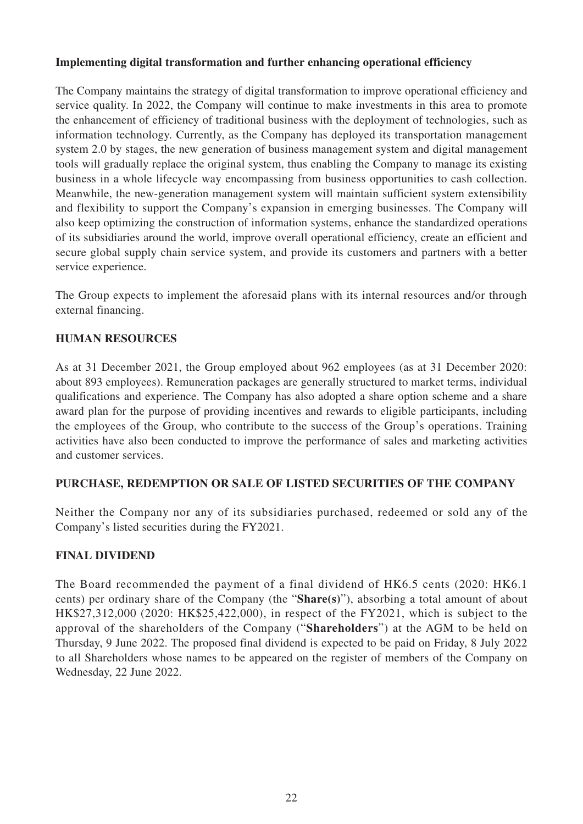#### **Implementing digital transformation and further enhancing operational efficiency**

The Company maintains the strategy of digital transformation to improve operational efficiency and service quality. In 2022, the Company will continue to make investments in this area to promote the enhancement of efficiency of traditional business with the deployment of technologies, such as information technology. Currently, as the Company has deployed its transportation management system 2.0 by stages, the new generation of business management system and digital management tools will gradually replace the original system, thus enabling the Company to manage its existing business in a whole lifecycle way encompassing from business opportunities to cash collection. Meanwhile, the new-generation management system will maintain sufficient system extensibility and flexibility to support the Company's expansion in emerging businesses. The Company will also keep optimizing the construction of information systems, enhance the standardized operations of its subsidiaries around the world, improve overall operational efficiency, create an efficient and secure global supply chain service system, and provide its customers and partners with a better service experience.

The Group expects to implement the aforesaid plans with its internal resources and/or through external financing.

## **HUMAN RESOURCES**

As at 31 December 2021, the Group employed about 962 employees (as at 31 December 2020: about 893 employees). Remuneration packages are generally structured to market terms, individual qualifications and experience. The Company has also adopted a share option scheme and a share award plan for the purpose of providing incentives and rewards to eligible participants, including the employees of the Group, who contribute to the success of the Group's operations. Training activities have also been conducted to improve the performance of sales and marketing activities and customer services.

#### **PURCHASE, REDEMPTION OR SALE OF LISTED SECURITIES OF THE COMPANY**

Neither the Company nor any of its subsidiaries purchased, redeemed or sold any of the Company's listed securities during the FY2021.

#### **FINAL DIVIDEND**

The Board recommended the payment of a final dividend of HK6.5 cents (2020: HK6.1 cents) per ordinary share of the Company (the "**Share(s)**"), absorbing a total amount of about HK\$27,312,000 (2020: HK\$25,422,000), in respect of the FY2021, which is subject to the approval of the shareholders of the Company ("**Shareholders**") at the AGM to be held on Thursday, 9 June 2022. The proposed final dividend is expected to be paid on Friday, 8 July 2022 to all Shareholders whose names to be appeared on the register of members of the Company on Wednesday, 22 June 2022.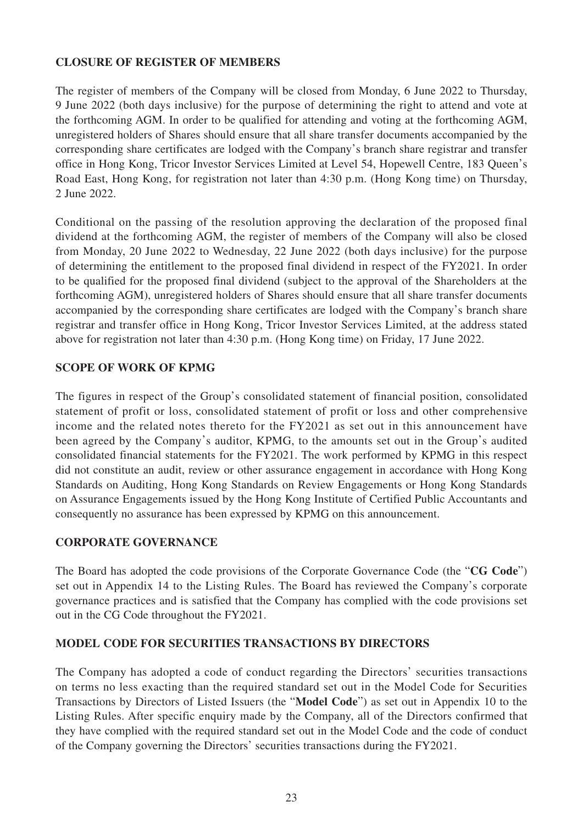#### **CLOSURE OF REGISTER OF MEMBERS**

The register of members of the Company will be closed from Monday, 6 June 2022 to Thursday, 9 June 2022 (both days inclusive) for the purpose of determining the right to attend and vote at the forthcoming AGM. In order to be qualified for attending and voting at the forthcoming AGM, unregistered holders of Shares should ensure that all share transfer documents accompanied by the corresponding share certificates are lodged with the Company's branch share registrar and transfer office in Hong Kong, Tricor Investor Services Limited at Level 54, Hopewell Centre, 183 Queen's Road East, Hong Kong, for registration not later than 4:30 p.m. (Hong Kong time) on Thursday, 2 June 2022.

Conditional on the passing of the resolution approving the declaration of the proposed final dividend at the forthcoming AGM, the register of members of the Company will also be closed from Monday, 20 June 2022 to Wednesday, 22 June 2022 (both days inclusive) for the purpose of determining the entitlement to the proposed final dividend in respect of the FY2021. In order to be qualified for the proposed final dividend (subject to the approval of the Shareholders at the forthcoming AGM), unregistered holders of Shares should ensure that all share transfer documents accompanied by the corresponding share certificates are lodged with the Company's branch share registrar and transfer office in Hong Kong, Tricor Investor Services Limited, at the address stated above for registration not later than 4:30 p.m. (Hong Kong time) on Friday, 17 June 2022.

#### **SCOPE OF WORK OF KPMG**

The figures in respect of the Group's consolidated statement of financial position, consolidated statement of profit or loss, consolidated statement of profit or loss and other comprehensive income and the related notes thereto for the FY2021 as set out in this announcement have been agreed by the Company's auditor, KPMG, to the amounts set out in the Group's audited consolidated financial statements for the FY2021. The work performed by KPMG in this respect did not constitute an audit, review or other assurance engagement in accordance with Hong Kong Standards on Auditing, Hong Kong Standards on Review Engagements or Hong Kong Standards on Assurance Engagements issued by the Hong Kong Institute of Certified Public Accountants and consequently no assurance has been expressed by KPMG on this announcement.

#### **CORPORATE GOVERNANCE**

The Board has adopted the code provisions of the Corporate Governance Code (the "**CG Code**") set out in Appendix 14 to the Listing Rules. The Board has reviewed the Company's corporate governance practices and is satisfied that the Company has complied with the code provisions set out in the CG Code throughout the FY2021.

#### **MODEL CODE FOR SECURITIES TRANSACTIONS BY DIRECTORS**

The Company has adopted a code of conduct regarding the Directors' securities transactions on terms no less exacting than the required standard set out in the Model Code for Securities Transactions by Directors of Listed Issuers (the "**Model Code**") as set out in Appendix 10 to the Listing Rules. After specific enquiry made by the Company, all of the Directors confirmed that they have complied with the required standard set out in the Model Code and the code of conduct of the Company governing the Directors' securities transactions during the FY2021.